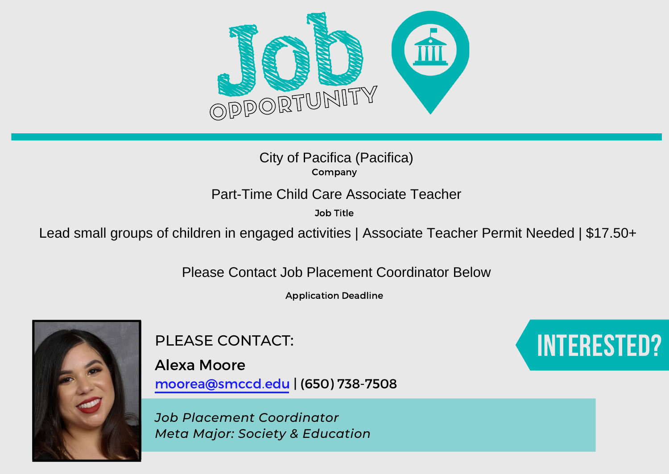

Company

Job Title

City of Pacifica (Pacifica)<br>
Company<br>
Part-Time Child Care Associate Teacher<br>
Job Title<br>
Lead small groups of children in engaged activities | Associate Teacher Permit Needed | \$17.50+

Please Contact Job Placement Coordinator Below

Application Deadline



PLEASE CONTACT:

Alexa Moore moorea@smccd.edu | (650) 738-7508

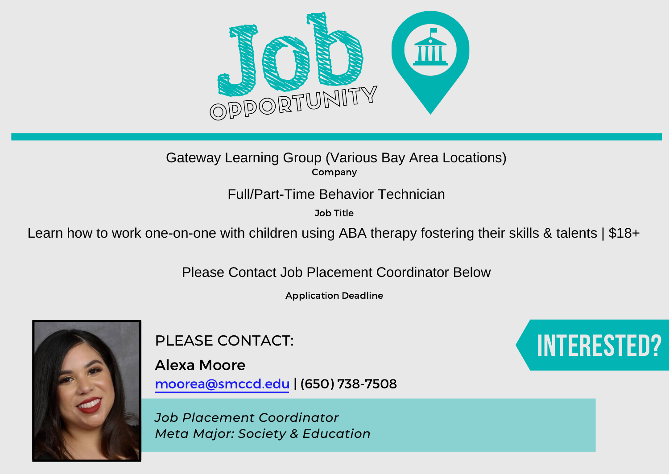

Company

Job Title

Gateway Learning Group (Various Bay Area Locations)<br>
Full/Part-Time Behavior Technician<br>
Job Title<br>
Learn how to work one-on-one with children using ABA therapy fostering their skills & talents | \$18+<br>
Please Contact Job P

Application Deadline



PLEASE CONTACT:

Alexa Moore moorea@smccd.edu | (650) 738-7508

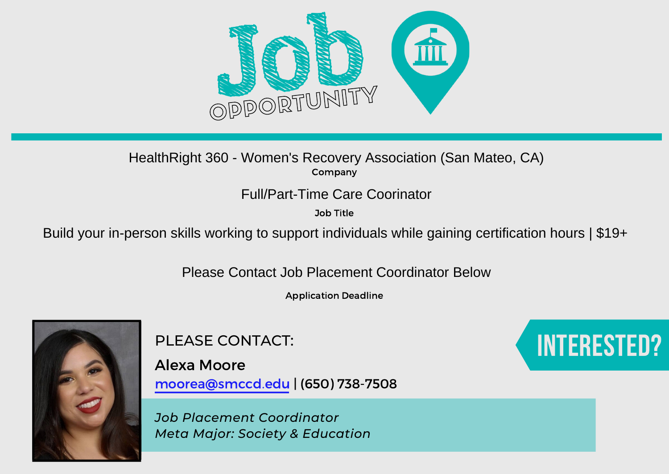

Company HealthRight 360 - Women's Recovery Association (San Mateo, CA)<br>
Company<br>
Full/Part-Time Care Coorinator<br>
Job Title<br>
Build your in-person skills working to support individuals while gaining certification hours | \$19+

Job Title

Please Contact Job Placement Coordinator Below

Application Deadline



PLEASE CONTACT:

Alexa Moore moorea@smccd.edu | (650) 738-7508